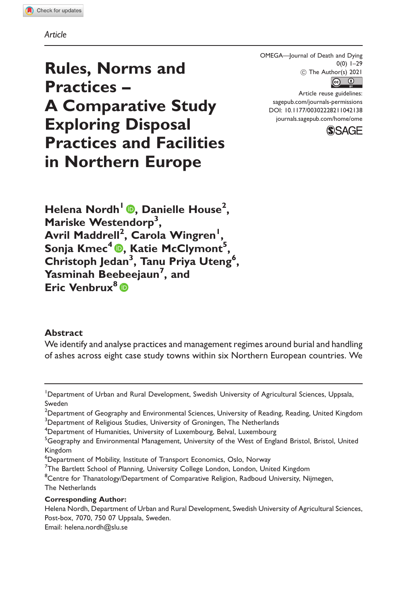Article

OMEGA—Journal of Death and Dying 0(0) 1–29  $\circledcirc$  The Author(s) 2021



Article reuse guidelines: [sagepub.com/journals-permissions](http://us.sagepub.com/en-us/journals-permissions) [DOI: 10.1177/00302228211042138](http://dx.doi.org/10.1177/00302228211042138) <journals.sagepub.com/home/ome>



Rules, Norms and Practices – A Comparative Study Exploring Disposal Practices and Facilities in Northern Europe

Helena Nordh<sup>I</sup> ®[,](https://orcid.org/orcid: 0000-0003-3668-008X) Danielle House<sup>2</sup>, Mariske Westendorp<sup>3</sup>, Avril Maddrell<sup>2</sup>, Carola Wingren<sup>1</sup>, Sonja Kmec4 , Katie McClymont<sup>5</sup> , Christoph Jedan<sup>3</sup>, Tanu Priya Uteng<sup>6</sup>, Yasminah Beebeejaun<sup>7</sup>, and Eric Venbrux<sup>8</sup><sup>®</sup>

## Abstract

We identify and analyse practices and management regimes around burial and handling of ashes across eight case study towns within six Northern European countries. We

#### Corresponding Author:

Email: [helena.nordh@slu.se](mailto:helena.nordh@slu.se)

<sup>&</sup>lt;sup>1</sup>Department of Urban and Rural Development, Swedish University of Agricultural Sciences, Uppsala, Sweden

 $^2$ Department of Geography and Environmental Sciences, University of Reading, Reading, United Kingdom  $^3$ Department of Religious Studies, University of Groningen, The Netherlands

<sup>4</sup> Department of Humanities, University of Luxembourg, Belval, Luxembourg

 $^5$ Geography and Environmental Management, University of the West of England Bristol, Bristol, United Kingdom

<sup>6</sup> Department of Mobility, Institute of Transport Economics, Oslo, Norway

 $^{7}$ The Bartlett School of Planning, University College London, London, United Kingdom

<sup>&</sup>lt;sup>8</sup>Centre for Thanatology/Department of Comparative Religion, Radboud University, Nijmegen, The Netherlands

Helena Nordh, Department of Urban and Rural Development, Swedish University of Agricultural Sciences, Post-box, 7070, 750 07 Uppsala, Sweden.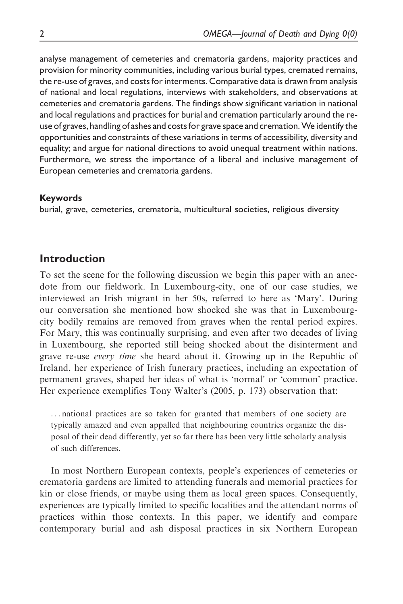analyse management of cemeteries and crematoria gardens, majority practices and provision for minority communities, including various burial types, cremated remains, the re-use of graves, and costs for interments. Comparative data is drawn from analysis of national and local regulations, interviews with stakeholders, and observations at cemeteries and crematoria gardens. The findings show significant variation in national and local regulations and practices for burial and cremation particularly around the reuse of graves, handling of ashes and costs for grave space and cremation.We identify the opportunities and constraints of these variations in terms of accessibility, diversity and equality; and argue for national directions to avoid unequal treatment within nations. Furthermore, we stress the importance of a liberal and inclusive management of European cemeteries and crematoria gardens.

### Keywords

burial, grave, cemeteries, crematoria, multicultural societies, religious diversity

## Introduction

To set the scene for the following discussion we begin this paper with an anecdote from our fieldwork. In Luxembourg-city, one of our case studies, we interviewed an Irish migrant in her 50s, referred to here as 'Mary'. During our conversation she mentioned how shocked she was that in Luxembourgcity bodily remains are removed from graves when the rental period expires. For Mary, this was continually surprising, and even after two decades of living in Luxembourg, she reported still being shocked about the disinterment and grave re-use every time she heard about it. Growing up in the Republic of Ireland, her experience of Irish funerary practices, including an expectation of permanent graves, shaped her ideas of what is 'normal' or 'common' practice. Her experience exemplifies Tony Walter's (2005, p. 173) observation that:

... national practices are so taken for granted that members of one society are typically amazed and even appalled that neighbouring countries organize the disposal of their dead differently, yet so far there has been very little scholarly analysis of such differences.

In most Northern European contexts, people's experiences of cemeteries or crematoria gardens are limited to attending funerals and memorial practices for kin or close friends, or maybe using them as local green spaces. Consequently, experiences are typically limited to specific localities and the attendant norms of practices within those contexts. In this paper, we identify and compare contemporary burial and ash disposal practices in six Northern European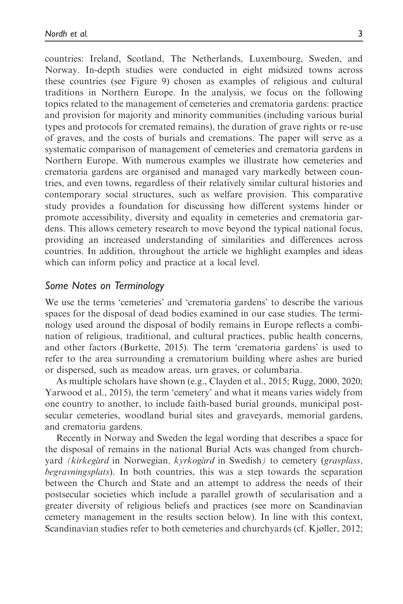countries: Ireland, Scotland, The Netherlands, Luxembourg, Sweden, and Norway. In-depth studies were conducted in eight midsized towns across these countries (see Figure 9) chosen as examples of religious and cultural traditions in Northern Europe. In the analysis, we focus on the following topics related to the management of cemeteries and crematoria gardens: practice and provision for majority and minority communities (including various burial types and protocols for cremated remains), the duration of grave rights or re-use of graves, and the costs of burials and cremations. The paper will serve as a systematic comparison of management of cemeteries and crematoria gardens in Northern Europe. With numerous examples we illustrate how cemeteries and crematoria gardens are organised and managed vary markedly between countries, and even towns, regardless of their relatively similar cultural histories and contemporary social structures, such as welfare provision. This comparative study provides a foundation for discussing how different systems hinder or promote accessibility, diversity and equality in cemeteries and crematoria gardens. This allows cemetery research to move beyond the typical national focus, providing an increased understanding of similarities and differences across countries. In addition, throughout the article we highlight examples and ideas which can inform policy and practice at a local level.

## Some Notes on Terminology

We use the terms 'cemeteries' and 'crematoria gardens' to describe the various spaces for the disposal of dead bodies examined in our case studies. The terminology used around the disposal of bodily remains in Europe reflects a combination of religious, traditional, and cultural practices, public health concerns, and other factors (Burkette, 2015). The term 'crematoria gardens' is used to refer to the area surrounding a crematorium building where ashes are buried or dispersed, such as meadow areas, urn graves, or columbaria.

As multiple scholars have shown (e.g., Clayden et al., 2015; Rugg, 2000, 2020; Yarwood et al., 2015), the term 'cemetery' and what it means varies widely from one country to another, to include faith-based burial grounds, municipal postsecular cemeteries, woodland burial sites and graveyards, memorial gardens, and crematoria gardens.

Recently in Norway and Sweden the legal wording that describes a space for the disposal of remains in the national Burial Acts was changed from churchyard (kirkegård in Norwegian, kyrkogård in Swedish) to cemetery (gravplass, begravningsplats). In both countries, this was a step towards the separation between the Church and State and an attempt to address the needs of their postsecular societies which include a parallel growth of secularisation and a greater diversity of religious beliefs and practices (see more on Scandinavian cemetery management in the results section below). In line with this context, Scandinavian studies refer to both cemeteries and churchyards (cf. Kjøller, 2012;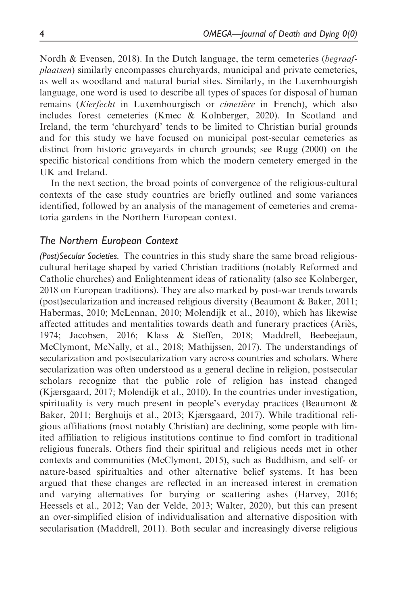Nordh & Evensen, 2018). In the Dutch language, the term cemeteries (begraafplaatsen) similarly encompasses churchyards, municipal and private cemeteries, as well as woodland and natural burial sites. Similarly, in the Luxembourgish language, one word is used to describe all types of spaces for disposal of human remains (Kierfecht in Luxembourgisch or cimetière in French), which also includes forest cemeteries (Kmec & Kolnberger, 2020). In Scotland and Ireland, the term 'churchyard' tends to be limited to Christian burial grounds and for this study we have focused on municipal post-secular cemeteries as distinct from historic graveyards in church grounds; see Rugg (2000) on the specific historical conditions from which the modern cemetery emerged in the UK and Ireland.

In the next section, the broad points of convergence of the religious-cultural contexts of the case study countries are briefly outlined and some variances identified, followed by an analysis of the management of cemeteries and crematoria gardens in the Northern European context.

## The Northern European Context

(Post)Secular Societies. The countries in this study share the same broad religiouscultural heritage shaped by varied Christian traditions (notably Reformed and Catholic churches) and Enlightenment ideas of rationality (also see Kolnberger, 2018 on European traditions). They are also marked by post-war trends towards (post)secularization and increased religious diversity (Beaumont & Baker, 2011; Habermas, 2010; McLennan, 2010; Molendijk et al., 2010), which has likewise affected attitudes and mentalities towards death and funerary practices (Ariès, 1974; Jacobsen, 2016; Klass & Steffen, 2018; Maddrell, Beebeejaun, McClymont, McNally, et al., 2018; Mathijssen, 2017). The understandings of secularization and postsecularization vary across countries and scholars. Where secularization was often understood as a general decline in religion, postsecular scholars recognize that the public role of religion has instead changed (Kjærsgaard, 2017; Molendijk et al., 2010). In the countries under investigation, spirituality is very much present in people's everyday practices (Beaumont  $\&$ Baker, 2011; Berghuijs et al., 2013; Kjærsgaard, 2017). While traditional religious affiliations (most notably Christian) are declining, some people with limited affiliation to religious institutions continue to find comfort in traditional religious funerals. Others find their spiritual and religious needs met in other contexts and communities (McClymont, 2015), such as Buddhism, and self- or nature-based spiritualties and other alternative belief systems. It has been argued that these changes are reflected in an increased interest in cremation and varying alternatives for burying or scattering ashes (Harvey, 2016; Heessels et al., 2012; Van der Velde, 2013; Walter, 2020), but this can present an over-simplified elision of individualisation and alternative disposition with secularisation (Maddrell, 2011). Both secular and increasingly diverse religious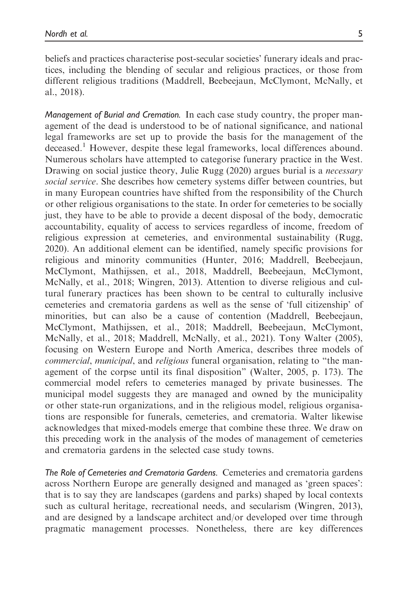beliefs and practices characterise post-secular societies' funerary ideals and practices, including the blending of secular and religious practices, or those from different religious traditions (Maddrell, Beebeejaun, McClymont, McNally, et al., 2018).

Management of Burial and Cremation. In each case study country, the proper management of the dead is understood to be of national significance, and national legal frameworks are set up to provide the basis for the management of the deceased.<sup>1</sup> However, despite these legal frameworks, local differences abound. Numerous scholars have attempted to categorise funerary practice in the West. Drawing on social justice theory, Julie Rugg (2020) argues burial is a *necessary* social service. She describes how cemetery systems differ between countries, but in many European countries have shifted from the responsibility of the Church or other religious organisations to the state. In order for cemeteries to be socially just, they have to be able to provide a decent disposal of the body, democratic accountability, equality of access to services regardless of income, freedom of religious expression at cemeteries, and environmental sustainability (Rugg, 2020). An additional element can be identified, namely specific provisions for religious and minority communities (Hunter, 2016; Maddrell, Beebeejaun, McClymont, Mathijssen, et al., 2018, Maddrell, Beebeejaun, McClymont, McNally, et al., 2018; Wingren, 2013). Attention to diverse religious and cultural funerary practices has been shown to be central to culturally inclusive cemeteries and crematoria gardens as well as the sense of 'full citizenship' of minorities, but can also be a cause of contention (Maddrell, Beebeejaun, McClymont, Mathijssen, et al., 2018; Maddrell, Beebeejaun, McClymont, McNally, et al., 2018; Maddrell, McNally, et al., 2021). Tony Walter (2005), focusing on Western Europe and North America, describes three models of commercial, municipal, and religious funeral organisation, relating to "the management of the corpse until its final disposition" (Walter, 2005, p. 173). The commercial model refers to cemeteries managed by private businesses. The municipal model suggests they are managed and owned by the municipality or other state-run organizations, and in the religious model, religious organisations are responsible for funerals, cemeteries, and crematoria. Walter likewise acknowledges that mixed-models emerge that combine these three. We draw on this preceding work in the analysis of the modes of management of cemeteries and crematoria gardens in the selected case study towns.

The Role of Cemeteries and Crematoria Gardens. Cemeteries and crematoria gardens across Northern Europe are generally designed and managed as 'green spaces': that is to say they are landscapes (gardens and parks) shaped by local contexts such as cultural heritage, recreational needs, and secularism (Wingren, 2013), and are designed by a landscape architect and/or developed over time through pragmatic management processes. Nonetheless, there are key differences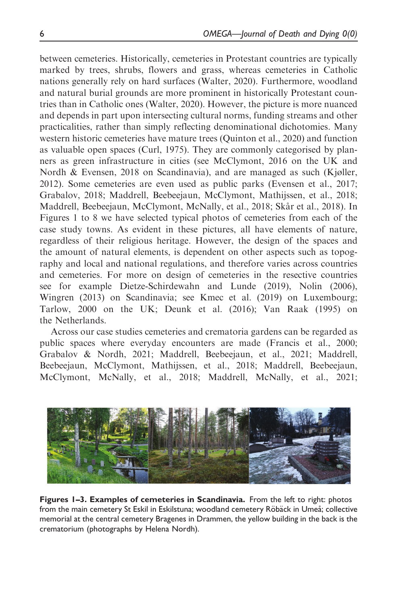between cemeteries. Historically, cemeteries in Protestant countries are typically marked by trees, shrubs, flowers and grass, whereas cemeteries in Catholic nations generally rely on hard surfaces (Walter, 2020). Furthermore, woodland and natural burial grounds are more prominent in historically Protestant countries than in Catholic ones (Walter, 2020). However, the picture is more nuanced and depends in part upon intersecting cultural norms, funding streams and other practicalities, rather than simply reflecting denominational dichotomies. Many western historic cemeteries have mature trees (Quinton et al., 2020) and function as valuable open spaces (Curl, 1975). They are commonly categorised by planners as green infrastructure in cities (see McClymont, 2016 on the UK and Nordh & Evensen, 2018 on Scandinavia), and are managed as such (Kjøller, 2012). Some cemeteries are even used as public parks (Evensen et al., 2017; Grabalov, 2018; Maddrell, Beebeejaun, McClymont, Mathijssen, et al., 2018; Maddrell, Beebeejaun, McClymont, McNally, et al., 2018; Skår et al., 2018). In Figures 1 to 8 we have selected typical photos of cemeteries from each of the case study towns. As evident in these pictures, all have elements of nature, regardless of their religious heritage. However, the design of the spaces and the amount of natural elements, is dependent on other aspects such as topography and local and national regulations, and therefore varies across countries and cemeteries. For more on design of cemeteries in the resective countries see for example Dietze-Schirdewahn and Lunde (2019), Nolin (2006), Wingren (2013) on Scandinavia; see Kmec et al. (2019) on Luxembourg; Tarlow, 2000 on the UK; Deunk et al. (2016); Van Raak (1995) on the Netherlands.

Across our case studies cemeteries and crematoria gardens can be regarded as public spaces where everyday encounters are made (Francis et al., 2000; Grabalov & Nordh, 2021; Maddrell, Beebeejaun, et al., 2021; Maddrell, Beebeejaun, McClymont, Mathijssen, et al., 2018; Maddrell, Beebeejaun, McClymont, McNally, et al., 2018; Maddrell, McNally, et al., 2021;



Figures 1-3. Examples of cemeteries in Scandinavia. From the left to right: photos from the main cemetery St Eskil in Eskilstuna; woodland cemetery Röbäck in Umeå; collective memorial at the central cemetery Bragenes in Drammen, the yellow building in the back is the crematorium (photographs by Helena Nordh).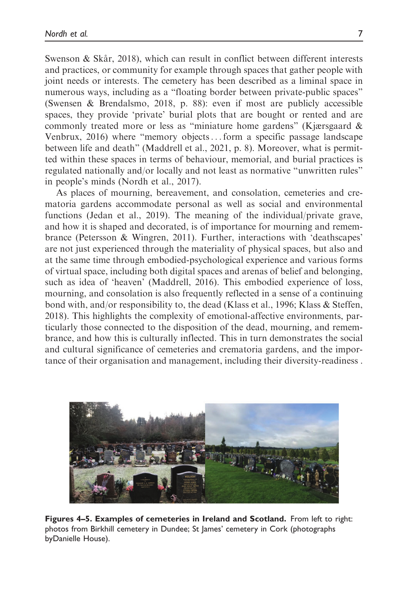Swenson & Skår, 2018), which can result in conflict between different interests and practices, or community for example through spaces that gather people with joint needs or interests. The cemetery has been described as a liminal space in numerous ways, including as a "floating border between private-public spaces" (Swensen & Brendalsmo, 2018, p. 88): even if most are publicly accessible spaces, they provide 'private' burial plots that are bought or rented and are commonly treated more or less as "miniature home gardens" (Kjærsgaard & Venbrux, 2016) where "memory objects... form a specific passage landscape between life and death" (Maddrell et al., 2021, p. 8). Moreover, what is permitted within these spaces in terms of behaviour, memorial, and burial practices is regulated nationally and/or locally and not least as normative "unwritten rules" in people's minds (Nordh et al., 2017).

As places of mourning, bereavement, and consolation, cemeteries and crematoria gardens accommodate personal as well as social and environmental functions (Jedan et al., 2019). The meaning of the individual/private grave, and how it is shaped and decorated, is of importance for mourning and remembrance (Petersson & Wingren, 2011). Further, interactions with 'deathscapes' are not just experienced through the materiality of physical spaces, but also and at the same time through embodied-psychological experience and various forms of virtual space, including both digital spaces and arenas of belief and belonging, such as idea of 'heaven' (Maddrell, 2016). This embodied experience of loss, mourning, and consolation is also frequently reflected in a sense of a continuing bond with, and/or responsibility to, the dead (Klass et al., 1996; Klass & Steffen, 2018). This highlights the complexity of emotional-affective environments, particularly those connected to the disposition of the dead, mourning, and remembrance, and how this is culturally inflected. This in turn demonstrates the social and cultural significance of cemeteries and crematoria gardens, and the importance of their organisation and management, including their diversity-readiness .



Figures 4–5. Examples of cemeteries in Ireland and Scotland. From left to right: photos from Birkhill cemetery in Dundee; St James' cemetery in Cork (photographs byDanielle House).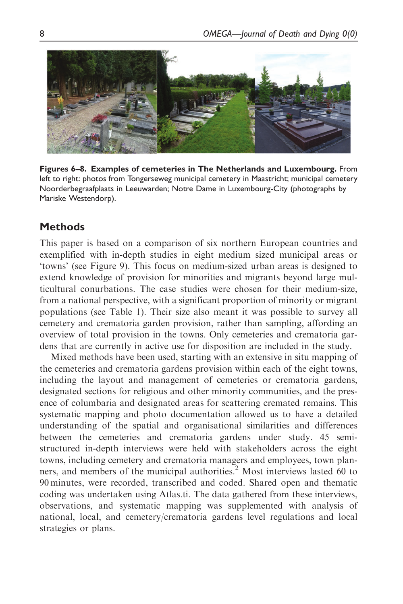

Figures 6–8. Examples of cemeteries in The Netherlands and Luxembourg. From left to right: photos from Tongerseweg municipal cemetery in Maastricht; municipal cemetery Noorderbegraafplaats in Leeuwarden; Notre Dame in Luxembourg-City (photographs by Mariske Westendorp).

# **Methods**

This paper is based on a comparison of six northern European countries and exemplified with in-depth studies in eight medium sized municipal areas or 'towns' (see Figure 9). This focus on medium-sized urban areas is designed to extend knowledge of provision for minorities and migrants beyond large multicultural conurbations. The case studies were chosen for their medium-size, from a national perspective, with a significant proportion of minority or migrant populations (see Table 1). Their size also meant it was possible to survey all cemetery and crematoria garden provision, rather than sampling, affording an overview of total provision in the towns. Only cemeteries and crematoria gardens that are currently in active use for disposition are included in the study.

Mixed methods have been used, starting with an extensive in situ mapping of the cemeteries and crematoria gardens provision within each of the eight towns, including the layout and management of cemeteries or crematoria gardens, designated sections for religious and other minority communities, and the presence of columbaria and designated areas for scattering cremated remains. This systematic mapping and photo documentation allowed us to have a detailed understanding of the spatial and organisational similarities and differences between the cemeteries and crematoria gardens under study. 45 semistructured in-depth interviews were held with stakeholders across the eight towns, including cemetery and crematoria managers and employees, town planners, and members of the municipal authorities.<sup>2</sup> Most interviews lasted 60 to 90 minutes, were recorded, transcribed and coded. Shared open and thematic coding was undertaken using Atlas.ti. The data gathered from these interviews, observations, and systematic mapping was supplemented with analysis of national, local, and cemetery/crematoria gardens level regulations and local strategies or plans.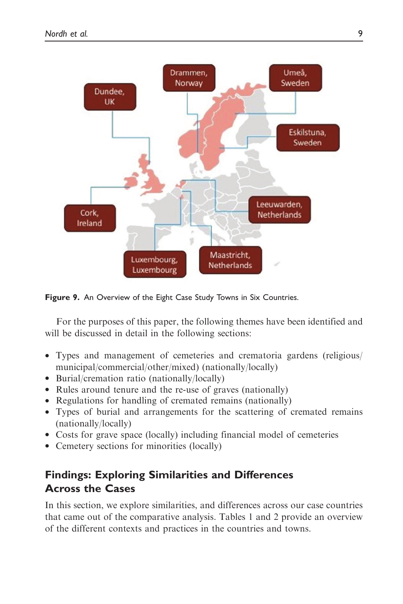

Figure 9. An Overview of the Eight Case Study Towns in Six Countries.

For the purposes of this paper, the following themes have been identified and will be discussed in detail in the following sections:

- Types and management of cemeteries and crematoria gardens (religious/ municipal/commercial/other/mixed) (nationally/locally)
- Burial/cremation ratio (nationally/locally)
- Rules around tenure and the re-use of graves (nationally)
- Regulations for handling of cremated remains (nationally)
- Types of burial and arrangements for the scattering of cremated remains (nationally/locally)
- Costs for grave space (locally) including financial model of cemeteries
- Cemetery sections for minorities (locally)

# Findings: Exploring Similarities and Differences Across the Cases

In this section, we explore similarities, and differences across our case countries that came out of the comparative analysis. Tables 1 and 2 provide an overview of the different contexts and practices in the countries and towns.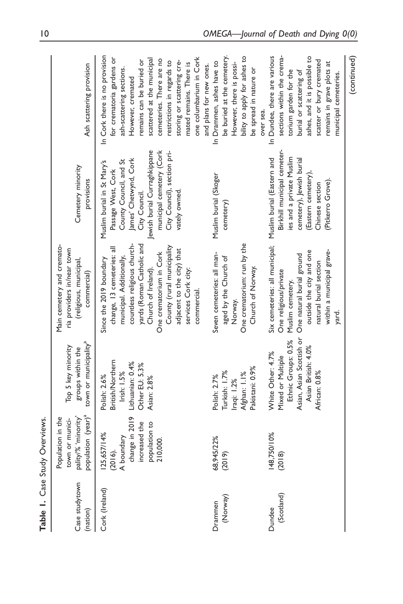| Case studytown<br>(nation) | population (year) <sup>a</sup><br>pality/% 'minority'<br>Population in the<br>town or munici-          | town or municipality <sup>a</sup><br>Top 5 key minority<br>groups within the                                                      | Main cemetery and cremato-<br>ria providers in/near town<br>(religious, municipal,<br>commercial)                                                                                                                                                                                                 | Cemetery minority<br>provisions                                                                                                                                                                                                  | Ash scattering provision                                                                                                                                                                                                                                                                                                                       |
|----------------------------|--------------------------------------------------------------------------------------------------------|-----------------------------------------------------------------------------------------------------------------------------------|---------------------------------------------------------------------------------------------------------------------------------------------------------------------------------------------------------------------------------------------------------------------------------------------------|----------------------------------------------------------------------------------------------------------------------------------------------------------------------------------------------------------------------------------|------------------------------------------------------------------------------------------------------------------------------------------------------------------------------------------------------------------------------------------------------------------------------------------------------------------------------------------------|
| Cork (Ireland)             | change in 2019<br>increased the<br>population to<br>125,657/14%<br>A boundary<br>210,000<br>$(2016)$ . | <b>British/Northern</b><br>Lithuanian: 0.4%<br>Other EU: 5.3%<br>Irish: 1.5%<br>Polish: 2.6%<br>Asian: 2.8%                       | countless religious church-<br>yards (Roman Catholic and<br>County (rural municipality<br>change, 13 cemeteries: all<br>adjacent to the city) that<br>One crematorium in Cork<br>municipal. Additionally,<br>Since the 2019 boundary<br>Church of Ireland).<br>services Cork city:<br>commercial. | Jewish burial Curraghkippane<br>municipal cemetery (Cork<br>City Council), section pri-<br>James' Chetwynd, Cork<br>County Council, and St<br>Muslim burial in St Mary's<br>Passage West, Cork<br>City Council.<br>vately owned. | In Cork there is no provision<br>for crematoria gardens or<br>one columbarium in Cork<br>cemeteries. There are no<br>scattered at the municipal<br>restrictions in regards to<br>storing or scattering cre-<br>remains can be buried or<br>mated remains. There is<br>and plans for new ones.<br>ash-scattering sections.<br>However, cremated |
| (Norway)<br>Drammen        | 68,945/22%<br>(2019)                                                                                   | Pakistani: 0.9%<br>Turkish: 1.7%<br>Afghan: 1.1%<br>Polish: 2.7%<br>raqi: 1.2%                                                    | One crematorium: run by the<br>Seven cemeteries: all man-<br>aged by the Church of<br>Church of Norway.<br>Norway.                                                                                                                                                                                | Muslim burial (Skoger<br>cemetery)                                                                                                                                                                                               | be buried at the cemetery.<br>bility to apply for ashes to<br>In Drammen, ashes have to<br>However, there is possi-<br>be spread in nature or<br>over sea.                                                                                                                                                                                     |
| (Scotland)<br>Dundee       | 148,750/10%<br>(2018)                                                                                  | Asian, Asian Scottish or<br>Ethnic Groups: 0.5%<br>Asian British: 4.0%<br>White Other: 4.7%<br>Mixed or Multiple<br>African: 0.8% | Six cemeteries: all municipal;<br>within a municipal grave-<br>outside the city and one<br>One natural burial ground<br>natural burial section<br>One religious/private<br>Muslim cemetery.<br>yard.                                                                                              | Birkhill municipal cemeter-<br>Muslim burial (Eastern and<br>ies and a private Muslim<br>cemetery), Jewish burial<br>(Eastern cemetery),<br>Pitkerro Grove)<br>Chinese section                                                   | In Dundee, there are various<br>sections within the crema-<br>ashes, and it is possible to<br>scatter or bury cremated<br>remains in grave plots at<br>burial or scattering of<br>torium garden for the<br>municipal cemeteries.                                                                                                               |
|                            |                                                                                                        |                                                                                                                                   |                                                                                                                                                                                                                                                                                                   |                                                                                                                                                                                                                                  | (continued)                                                                                                                                                                                                                                                                                                                                    |

Table 1. Case Study Overviews.

Table 1. Case Study Overviews.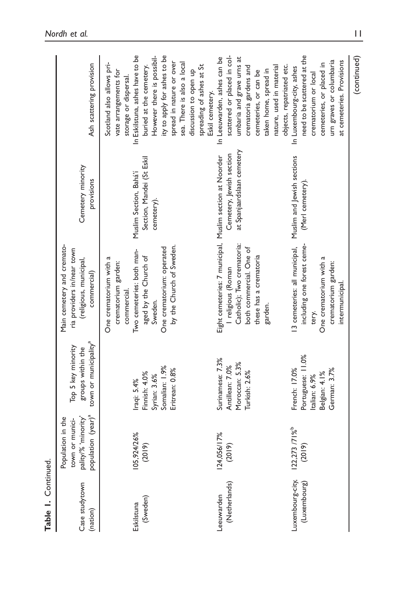| Case studytown<br>(nation)       | population (year) <sup>a</sup><br>pality/% 'minority'<br>Population in the<br>town or munici- | town or municipality <sup>a</sup><br>Top 5 key minority<br>groups within the        | Main cemetery and cremato-<br>ria providers in/near town<br>(religious, municipal,<br>commercial)                                                                                      | Cemetery minority<br>provisions                                   | Ash scattering provision                                                                                                                                                                                                                                          |
|----------------------------------|-----------------------------------------------------------------------------------------------|-------------------------------------------------------------------------------------|----------------------------------------------------------------------------------------------------------------------------------------------------------------------------------------|-------------------------------------------------------------------|-------------------------------------------------------------------------------------------------------------------------------------------------------------------------------------------------------------------------------------------------------------------|
| (Sweden)<br>Eskilstuna           | 105,924/26%<br>(2019)                                                                         | Somalian: 1.9%<br>Eritrean: 0.8%<br>Finnish: 4.0%<br>Syrian: 3.6%<br>Iraqi: 5.4%    | by the Church of Sweden.<br>One crematorium: operated<br>Two cemeteries: both man-<br>aged by the Church of<br>One crematorium with a<br>crematorium garden:<br>commercial.<br>Sweden. | Section, Mandei (St Eskil<br>Muslim Section, Bahá'í<br>cemetery). | In Eskilstuna, ashes have to be<br>ity to apply for ashes to be<br>However there is possibil-<br>spread in nature or over<br>sea. There is also a local<br>Scotland also allows pri-<br>buried at the cemetery.<br>vate arrangements for<br>storage or dispersal. |
| (Netherlands)<br>Leeuwarden      | 124,056/17%<br>(2019)                                                                         | Surinamese: 7.3%<br>Moroccan: 5.3%<br>Antillean: 7.0%<br>Turkish: 2.6%              | Eight cemeteries: 7 municipal, Muslim section at Noorder<br>Catholic); Two crematoria:<br>both commercial. One of<br>these has a crematoria<br>I religious (Roman<br>garden.           | at Spanjaardslaan cemetery<br>Cemetery, Jewish section            | scattered or placed in col-<br>In Leeuwarden, ashes can be<br>umbaria and grave urns at<br>spreading of ashes at St<br>crematoria gardens and<br>taken home, spread in<br>discussion to open up<br>cemeteries, or can be<br>Eskil cemetery.                       |
| Luxembourg-city,<br>(Luxembourg) | 122,273 /71%<br>(2019)                                                                        | Portuguese: 11.0%<br>French: 17.0%<br>German: 3.7%<br>Belgian: 4.1%<br>talian: 6.9% | 13 cemeteries: all municipal, Muslim and Jewish sections<br>including one forest ceme-<br>One crematorium with a<br>crematorium garden:<br>intermunicipal.<br>tery.                    | (Merl cemetery).                                                  | need to be scattered at the<br>urn graves or columbaria<br>at cemeteries. Provisions<br>cemeteries, or placed in<br>objects, repatriated etc.<br>nature, used in material<br>In Luxembourg-city, ashes<br>crematorium or local                                    |

Table 1. Continued.

Table 1. Continued.

(continued)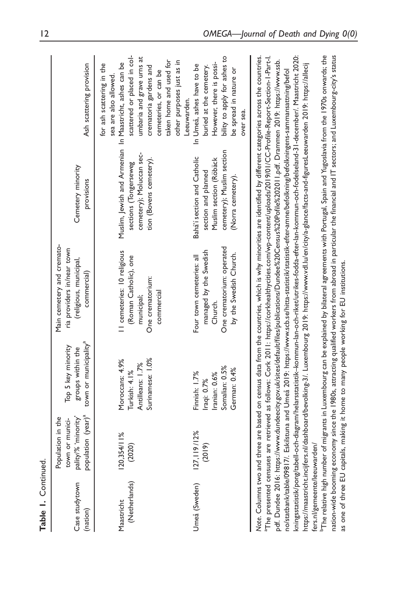| Table I. Continued.         |                                                                                               |                                                                                 |                                                                                                                                                                                                                                                                                                                                                                                                                                                                                    |                                                                                                                                         |                                                                                                                                                                                                                                |
|-----------------------------|-----------------------------------------------------------------------------------------------|---------------------------------------------------------------------------------|------------------------------------------------------------------------------------------------------------------------------------------------------------------------------------------------------------------------------------------------------------------------------------------------------------------------------------------------------------------------------------------------------------------------------------------------------------------------------------|-----------------------------------------------------------------------------------------------------------------------------------------|--------------------------------------------------------------------------------------------------------------------------------------------------------------------------------------------------------------------------------|
| Case studytown<br>(nation)  | population (year) <sup>a</sup><br>pality/% 'minority'<br>Population in the<br>town or munici- | town or municipality <sup>a</sup><br>Top 5 key minority<br>groups within the    | Main cemetery and cremato-<br>ria providers in/near town<br>(religious, municipal,<br>commercial)                                                                                                                                                                                                                                                                                                                                                                                  | Cemetery minority<br>provisions                                                                                                         | Ash scattering provision                                                                                                                                                                                                       |
| (Netherlands)<br>Maastricht | 120,354/11%<br>(2020)                                                                         | Surinamese: 1.0%<br>Moroccans: 4.9%<br>Antilleans: 1.7%<br>Turkish: 4.1%        | Il cemeteries: 10 religious<br>(Roman Catholic), one<br>One crematorium:<br>commercial<br>municipal;                                                                                                                                                                                                                                                                                                                                                                               | Muslim, Jewish and Armenian In Maastricht, ashes can be<br>cemetery); Moluccan sec-<br>tion (Bovens cemetery).<br>sections (Tongerseweg | scattered or placed in col-<br>umbaria and grave urns at<br>for ash scattering in the<br>crematoria gardens and<br>cemeteries, or can be<br>sea are also allowed.                                                              |
| Umeå (Sweden)               | 127, 119/12%<br>(2019)                                                                        | Somalian: 0.5%<br>German: 0.4%<br>Finnish: 1.7%<br>Iranian: 0.6%<br>Iraqi: 0.7% | One crematorium: operated<br>managed by the Swedish<br>by the Swedish Church.<br>Four town cemeteries: all<br>Church.                                                                                                                                                                                                                                                                                                                                                              | cemetery); Muslim section<br>Bahá'í section and Catholic<br>Muslim section (Röbäck<br>section and planned<br>(Norra cemetery).          | bility to apply for ashes to<br>taken home and used for<br>other purposes just as in<br>However, there is possi-<br>In Umeå, ashes have to be<br>buried at the cemetery.<br>be spread in nature or<br>Leeuwarden.<br>over sea. |
|                             |                                                                                               |                                                                                 | Note. Columns two and three are based on census data from the countries, which is why minorities are identified by different categories across the countries.<br>"The presented censuses are retrieved as follows: Cork 2011: https://corkhealthycities.com/wp-content/uploads/2019/01/CC-Profile-Report-Section-1-Part-1.<br>pdf. Dundee 2016: https://www.dundeecity.gov.uk/sites/default/files/publications/Dundee%20Census%20Pofile%202011.ndf. Drammen 2019: https://www.ssb. |                                                                                                                                         |                                                                                                                                                                                                                                |

kningsstatistik/pong/tabell-och-diagram/helarsstatistik-kommun-lan-och-riket/utrikes-fodda-efter-lan-kommun-och-fodelseland-31-december/. Maastricht 2020: [kningsstatistik/pong/tabell-och-diagram/helarsstatistik–kommun-lan-och-riket/utrikes-fodda-efter-lan-kommun-och-fodelseland-31-december/.](https://www.scb.se/hitta-statistik/statistik-efter-amne/befolkning/befolkningens-sammansattning/befolkningsstatistik/pong/tabell-och-diagram/helarsstatistikkommun-lan-och-riket/utrikes-fodda-efter-lan-kommun-och-fodelseland-31-december/. Maastricht 2020) Maastricht 2020: [pdf](https://corkhealthycities.com/wp-content/uploads/2019/01/CC-Profile-Report-Section-1-Part-I.pdf). Dundee 2016: [https://www.dundeecity.gov.uk/sites/default/files/publications/Dundee](https://www.dundeecity.gov.uk/sites/default/files/publications/Dundee%20Census%20Pofile%202011.pdf)%[20Census](https://www.dundeecity.gov.uk/sites/default/files/publications/Dundee%20Census%20Pofile%202011.pdf)%[20Pofile](https://www.dundeecity.gov.uk/sites/default/files/publications/Dundee%20Census%20Pofile%202011.pdf)%[202011.pdf](https://www.dundeecity.gov.uk/sites/default/files/publications/Dundee%20Census%20Pofile%202011.pdf). Drammen 2019: [https://www.ssb.](https://www.ssb.no/statbank/table/09817/. Eskilstuna) https://maastricht.incijfers.nl/dashboard/bevolking-3/. Luxembourg 2019: https://www.vdl.lu/en/city/a-glance/facts-and-figuresLeeuwarden 2019: https://allecij <https://maastricht.incijfers.nl/dashboard/bevolking-3/>. Luxembourg 2019: <https://www.vdl.lu/en/city/a-glance/facts-and-figuresLeeuwarden> 2019: [https://allecij](https://allecijfers.nl/gemeente/leeuwarden/) no/statbank/table/09817/. Eskilstuna and Umeå 2019: https://www.scb.se/hitta-statistik/statistik-efter-amne/befolkning/befolkningens-sammansattning/befol [no/statbank/table/09817/.](https://www.ssb.no/statbank/table/09817/. Eskilstuna) Eskilstuna and [Umea˚](Ume� 2019) 2019: [https://www.scb.se/hitta-statistik/statistik-efter-amne/befolkning/befolkningens-sammansattning/befol](https://www.scb.se/hitta-statistik/statistik-efter-amne/befolkning/befolkningens-sammansattning/befolkningsstatistik/pong/tabell-och-diagram/helarsstatistikkommun-lan-och-riket/utrikes-fodda-efter-lan-kommun-och-fodelseland-31-december/. Maastricht 2020) fers.nl/gemeente/leeuwarden/ [fers.nl/gemeente/leeuwarden/](https://allecijfers.nl/gemeente/leeuwarden/)

<sup>ь</sup>The relative high number of migrants in Luxembourg can be explained by bilateral agreements with Portugal, Spain and Yugoslavia from the 1970s onwards; the nation-wide booming economy since the 1980s, attracting qualified workers from abroad in particular the financial and IT sectors; and Luxembourg-city's status The relative high number of migrants in Luxembourg can be explained by bilateral agreements with Portugal, Spain and Yugoslavia from the 1970s onwards; the nation-wide booming economy since the 1980s, attracting qualified workers from abroad in particular the financial and IT sectors; and Luxembourg-city's status as one of three EU capitals, making it home to many people working for EU institutions. as one of three EU capitals, making it home to many people working for EU institutions.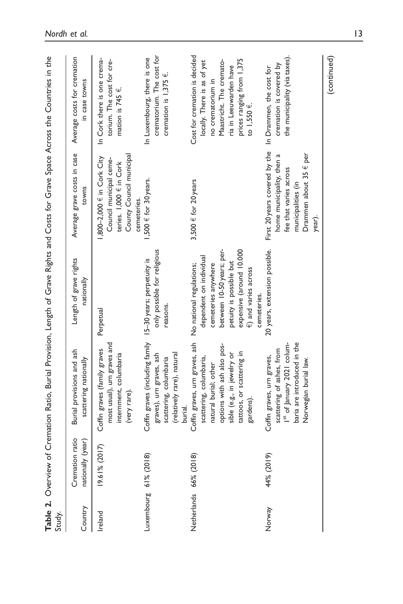| Study.                 |                                      | Table 2. Overview of Cremation Ratio, Burial Provision, Length of Grave Rights and Costs for Grave Space Across the Countries in the                                                                              |                                                                                                                                                                                     |                                                                                                                                                                                  |                                                                                                                                                                                        |
|------------------------|--------------------------------------|-------------------------------------------------------------------------------------------------------------------------------------------------------------------------------------------------------------------|-------------------------------------------------------------------------------------------------------------------------------------------------------------------------------------|----------------------------------------------------------------------------------------------------------------------------------------------------------------------------------|----------------------------------------------------------------------------------------------------------------------------------------------------------------------------------------|
| Country                | Cremation ratio<br>nationally (year) | Burial provisions and ash<br>scattering nationally                                                                                                                                                                | Length of grave rights<br>nationally                                                                                                                                                | Average grave costs in case<br>towns                                                                                                                                             | Average costs for cremation<br>in case towns                                                                                                                                           |
| Ireland                | 19.61% (2017)                        | most usual), urn graves and<br>Coffin graves (family graves<br>internment, columbaria<br>(very rare).                                                                                                             | Perpetual                                                                                                                                                                           | County Council municipal<br>800-2,000 € in Cork City<br>Council municipal ceme-<br>teries. 1,000 € in Cork<br>cemeteries.                                                        | In Cork there is one crema-<br>torium. The cost for cre-<br>mation is 745 $\epsilon$ .                                                                                                 |
| Luxembourg 61% (2018)  |                                      | Coffin graves (including family 15-30 years; perpetuity is<br>(relatively rare), natural<br>graves), urn graves, ash<br>scattering, columbaria<br>burial.                                                         | only possible for religious<br>reasons.                                                                                                                                             | 1,500 € for 30 years.                                                                                                                                                            | crematorium. The cost for<br>In Luxembourg, there is one<br>cremation is $1,375 \in$ .                                                                                                 |
| Netherlands 66% (2018) |                                      | Coffin graves, urn graves, ash No national regulations;<br>options with ash also pos-<br>tattoos, or scattering in<br>sible (e.g., in jewelry or<br>scattering, columbaria,<br>natural burial; other<br>gardens). | between 10-50 years; per-<br>expensive (around 10.000<br>dependent on individual<br>petuity is possible but<br>cemeteries anywhere<br>$\epsilon$ ) and varies across<br>cemeteries. | 3,500 $\in$ for 20 years                                                                                                                                                         | Cost for cremation is decided<br>prices ranging from 1,375<br>Maastricht. The cremato-<br>locally. There is as of yet<br>ria in Leeuwarden have<br>no crematorium in<br>to $1,550 \in$ |
| Norway                 | 44% (2019)                           | baria are introduced in the<br>Ist of January 2021 colum-<br>scattering of ashes, from<br>Coffin graves, urn graves,<br>Norwegian burial law.                                                                     | 20 years, extension possible.                                                                                                                                                       | First 20 years covered by the In Drammen, the cost for<br>Drammen about 35 $\epsilon$ per<br>home municipality, then a<br>fee that varies across<br>municipalities (in<br>year). | the municipality (via taxes).<br>cremation is covered by                                                                                                                               |

(continued)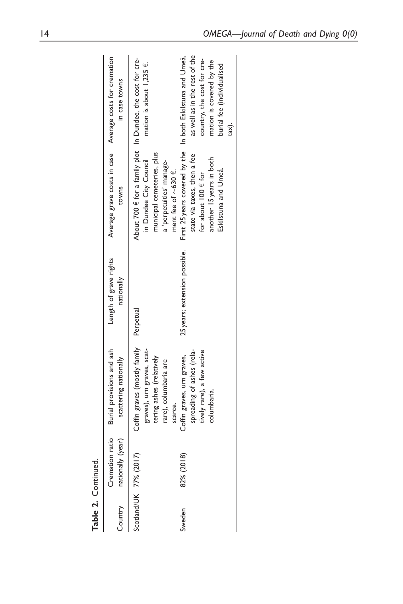| Table 2. Continued.    |                           |                                                                                                                           |                                      |                                                                                                                                                                                        |                                                                                         |
|------------------------|---------------------------|---------------------------------------------------------------------------------------------------------------------------|--------------------------------------|----------------------------------------------------------------------------------------------------------------------------------------------------------------------------------------|-----------------------------------------------------------------------------------------|
|                        | Country nationally (year) | Cremation ratio Burial provisions and ash<br>scattering nationally                                                        | Length of grave rights<br>nationally | towns                                                                                                                                                                                  | Average grave costs in case Average costs for cremation<br>in case towns                |
| Scotland/UK 77% (2017) |                           | Coffin graves (mostly family Perpetual<br>graves), urn graves, scat-<br>tering ashes (relatively<br>rare), columbaria are |                                      | About 700 € for a family plot In Dundee, the cost for cre-<br>municipal cemeteries, plus<br>in Dundee City Council<br>a 'perpetuities' manage-                                         | mation is about $1,235 \in$ .                                                           |
| Sweden                 | 82% (2018)                | spreading of ashes (rela-<br>tively rare), a few active<br>Coffin graves, urn graves,<br>columbaria.<br>scarce.           | 25 years; extension possible.        | First 25 years covered by the In both Eskilstuna and Umeå,<br>state via taxes, then a fee<br>another 15 years in both<br>ment fee of $\sim$ 630 €.<br>for about $100 \text{ } \in$ for | as well as in the rest of the<br>country, the cost for cre-<br>mation is covered by the |
|                        |                           |                                                                                                                           |                                      | Eskilstuna and Umeå.                                                                                                                                                                   | burial fee (individualised<br>tax).                                                     |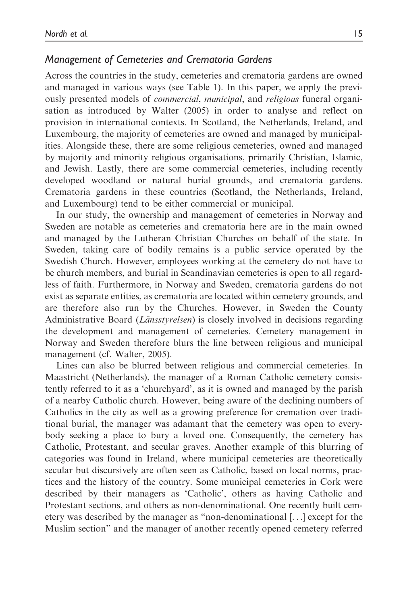## Management of Cemeteries and Crematoria Gardens

Across the countries in the study, cemeteries and crematoria gardens are owned and managed in various ways (see Table 1). In this paper, we apply the previously presented models of commercial, municipal, and religious funeral organisation as introduced by Walter (2005) in order to analyse and reflect on provision in international contexts. In Scotland, the Netherlands, Ireland, and Luxembourg, the majority of cemeteries are owned and managed by municipalities. Alongside these, there are some religious cemeteries, owned and managed by majority and minority religious organisations, primarily Christian, Islamic, and Jewish. Lastly, there are some commercial cemeteries, including recently developed woodland or natural burial grounds, and crematoria gardens. Crematoria gardens in these countries (Scotland, the Netherlands, Ireland, and Luxembourg) tend to be either commercial or municipal.

In our study, the ownership and management of cemeteries in Norway and Sweden are notable as cemeteries and crematoria here are in the main owned and managed by the Lutheran Christian Churches on behalf of the state. In Sweden, taking care of bodily remains is a public service operated by the Swedish Church. However, employees working at the cemetery do not have to be church members, and burial in Scandinavian cemeteries is open to all regardless of faith. Furthermore, in Norway and Sweden, crematoria gardens do not exist as separate entities, as crematoria are located within cemetery grounds, and are therefore also run by the Churches. However, in Sweden the County Administrative Board (Länsstyrelsen) is closely involved in decisions regarding the development and management of cemeteries. Cemetery management in Norway and Sweden therefore blurs the line between religious and municipal management (cf. Walter, 2005).

Lines can also be blurred between religious and commercial cemeteries. In Maastricht (Netherlands), the manager of a Roman Catholic cemetery consistently referred to it as a 'churchyard', as it is owned and managed by the parish of a nearby Catholic church. However, being aware of the declining numbers of Catholics in the city as well as a growing preference for cremation over traditional burial, the manager was adamant that the cemetery was open to everybody seeking a place to bury a loved one. Consequently, the cemetery has Catholic, Protestant, and secular graves. Another example of this blurring of categories was found in Ireland, where municipal cemeteries are theoretically secular but discursively are often seen as Catholic, based on local norms, practices and the history of the country. Some municipal cemeteries in Cork were described by their managers as 'Catholic', others as having Catholic and Protestant sections, and others as non-denominational. One recently built cemetery was described by the manager as "non-denominational [...] except for the Muslim section" and the manager of another recently opened cemetery referred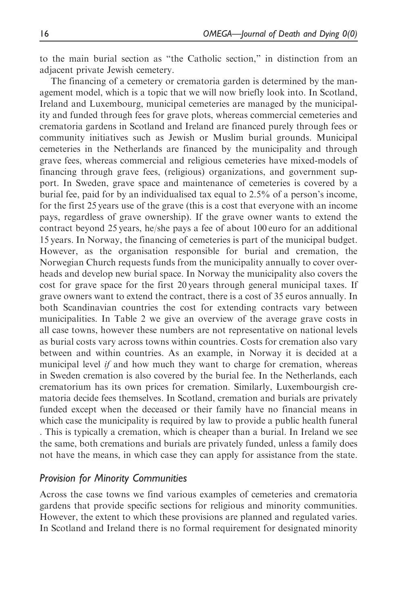to the main burial section as "the Catholic section," in distinction from an adjacent private Jewish cemetery.

The financing of a cemetery or crematoria garden is determined by the management model, which is a topic that we will now briefly look into. In Scotland, Ireland and Luxembourg, municipal cemeteries are managed by the municipality and funded through fees for grave plots, whereas commercial cemeteries and crematoria gardens in Scotland and Ireland are financed purely through fees or community initiatives such as Jewish or Muslim burial grounds. Municipal cemeteries in the Netherlands are financed by the municipality and through grave fees, whereas commercial and religious cemeteries have mixed-models of financing through grave fees, (religious) organizations, and government support. In Sweden, grave space and maintenance of cemeteries is covered by a burial fee, paid for by an individualised tax equal to 2.5% of a person's income, for the first 25 years use of the grave (this is a cost that everyone with an income pays, regardless of grave ownership). If the grave owner wants to extend the contract beyond 25 years, he/she pays a fee of about 100 euro for an additional 15 years. In Norway, the financing of cemeteries is part of the municipal budget. However, as the organisation responsible for burial and cremation, the Norwegian Church requests funds from the municipality annually to cover overheads and develop new burial space. In Norway the municipality also covers the cost for grave space for the first 20 years through general municipal taxes. If grave owners want to extend the contract, there is a cost of 35 euros annually. In both Scandinavian countries the cost for extending contracts vary between municipalities. In Table 2 we give an overview of the average grave costs in all case towns, however these numbers are not representative on national levels as burial costs vary across towns within countries. Costs for cremation also vary between and within countries. As an example, in Norway it is decided at a municipal level *if* and how much they want to charge for cremation, whereas in Sweden cremation is also covered by the burial fee. In the Netherlands, each crematorium has its own prices for cremation. Similarly, Luxembourgish crematoria decide fees themselves. In Scotland, cremation and burials are privately funded except when the deceased or their family have no financial means in which case the municipality is required by law to provide a public health funeral . This is typically a cremation, which is cheaper than a burial. In Ireland we see the same, both cremations and burials are privately funded, unless a family does not have the means, in which case they can apply for assistance from the state.

## Provision for Minority Communities

Across the case towns we find various examples of cemeteries and crematoria gardens that provide specific sections for religious and minority communities. However, the extent to which these provisions are planned and regulated varies. In Scotland and Ireland there is no formal requirement for designated minority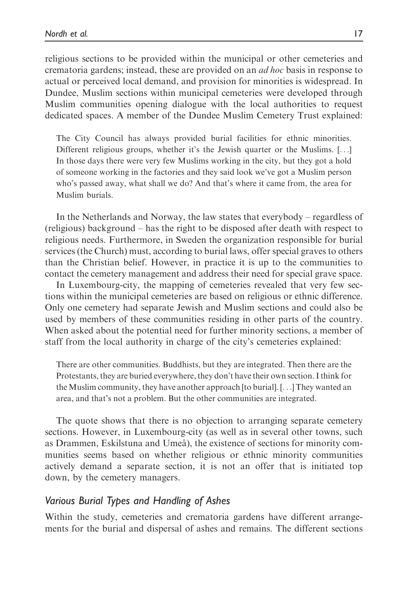religious sections to be provided within the municipal or other cemeteries and crematoria gardens; instead, these are provided on an ad hoc basis in response to actual or perceived local demand, and provision for minorities is widespread. In Dundee, Muslim sections within municipal cemeteries were developed through Muslim communities opening dialogue with the local authorities to request dedicated spaces. A member of the Dundee Muslim Cemetery Trust explained:

The City Council has always provided burial facilities for ethnic minorities. Different religious groups, whether it's the Jewish quarter or the Muslims. [...] In those days there were very few Muslims working in the city, but they got a hold of someone working in the factories and they said look we've got a Muslim person who's passed away, what shall we do? And that's where it came from, the area for Muslim burials.

In the Netherlands and Norway, the law states that everybody – regardless of (religious) background – has the right to be disposed after death with respect to religious needs. Furthermore, in Sweden the organization responsible for burial services (the Church) must, according to burial laws, offer special graves to others than the Christian belief. However, in practice it is up to the communities to contact the cemetery management and address their need for special grave space.

In Luxembourg-city, the mapping of cemeteries revealed that very few sections within the municipal cemeteries are based on religious or ethnic difference. Only one cemetery had separate Jewish and Muslim sections and could also be used by members of these communities residing in other parts of the country. When asked about the potential need for further minority sections, a member of staff from the local authority in charge of the city's cemeteries explained:

There are other communities. Buddhists, but they are integrated. Then there are the Protestants, they are buried everywhere, they don't have their own section. I think for the Muslim community, they have another approach [to burial]. [...] They wanted an area, and that's not a problem. But the other communities are integrated.

The quote shows that there is no objection to arranging separate cemetery sections. However, in Luxembourg-city (as well as in several other towns, such as Drammen, Eskilstuna and Umeå), the existence of sections for minority communities seems based on whether religious or ethnic minority communities actively demand a separate section, it is not an offer that is initiated top down, by the cemetery managers.

### Various Burial Types and Handling of Ashes

Within the study, cemeteries and crematoria gardens have different arrangements for the burial and dispersal of ashes and remains. The different sections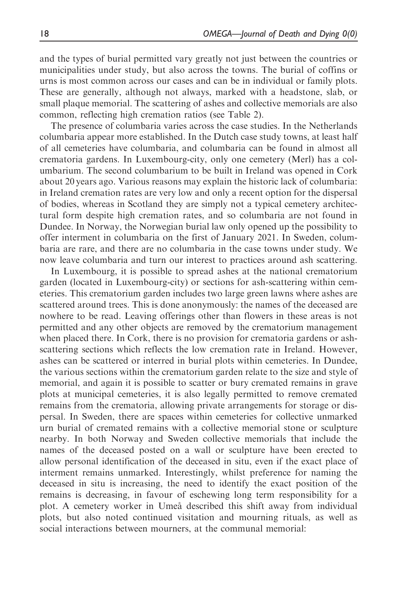and the types of burial permitted vary greatly not just between the countries or municipalities under study, but also across the towns. The burial of coffins or urns is most common across our cases and can be in individual or family plots. These are generally, although not always, marked with a headstone, slab, or small plaque memorial. The scattering of ashes and collective memorials are also common, reflecting high cremation ratios (see Table 2).

The presence of columbaria varies across the case studies. In the Netherlands columbaria appear more established. In the Dutch case study towns, at least half of all cemeteries have columbaria, and columbaria can be found in almost all crematoria gardens. In Luxembourg-city, only one cemetery (Merl) has a columbarium. The second columbarium to be built in Ireland was opened in Cork about 20 years ago. Various reasons may explain the historic lack of columbaria: in Ireland cremation rates are very low and only a recent option for the dispersal of bodies, whereas in Scotland they are simply not a typical cemetery architectural form despite high cremation rates, and so columbaria are not found in Dundee. In Norway, the Norwegian burial law only opened up the possibility to offer interment in columbaria on the first of January 2021. In Sweden, columbaria are rare, and there are no columbaria in the case towns under study. We now leave columbaria and turn our interest to practices around ash scattering.

In Luxembourg, it is possible to spread ashes at the national crematorium garden (located in Luxembourg-city) or sections for ash-scattering within cemeteries. This crematorium garden includes two large green lawns where ashes are scattered around trees. This is done anonymously: the names of the deceased are nowhere to be read. Leaving offerings other than flowers in these areas is not permitted and any other objects are removed by the crematorium management when placed there. In Cork, there is no provision for crematoria gardens or ashscattering sections which reflects the low cremation rate in Ireland. However, ashes can be scattered or interred in burial plots within cemeteries. In Dundee, the various sections within the crematorium garden relate to the size and style of memorial, and again it is possible to scatter or bury cremated remains in grave plots at municipal cemeteries, it is also legally permitted to remove cremated remains from the crematoria, allowing private arrangements for storage or dispersal. In Sweden, there are spaces within cemeteries for collective unmarked urn burial of cremated remains with a collective memorial stone or sculpture nearby. In both Norway and Sweden collective memorials that include the names of the deceased posted on a wall or sculpture have been erected to allow personal identification of the deceased in situ, even if the exact place of interment remains unmarked. Interestingly, whilst preference for naming the deceased in situ is increasing, the need to identify the exact position of the remains is decreasing, in favour of eschewing long term responsibility for a plot. A cemetery worker in Umeå described this shift away from individual plots, but also noted continued visitation and mourning rituals, as well as social interactions between mourners, at the communal memorial: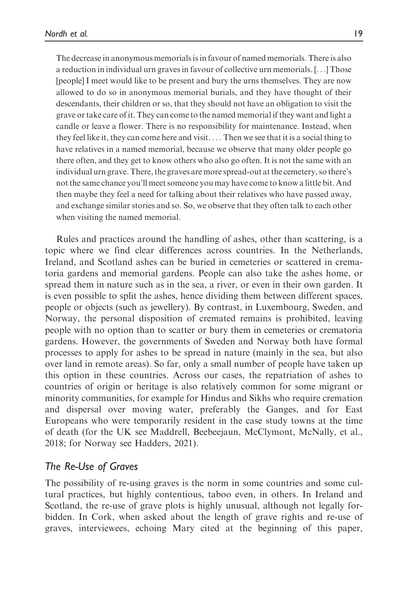The decrease in anonymous memorials is in favour of named memorials. There is also a reduction in individual urn graves in favour of collective urn memorials. [...] Those [people] I meet would like to be present and bury the urns themselves. They are now allowed to do so in anonymous memorial burials, and they have thought of their descendants, their children or so, that they should not have an obligation to visit the grave or take care of it. They can come to the named memorial if they want and light a candle or leave a flower. There is no responsibility for maintenance. Instead, when they feel like it, they can come here and visit. ... Then we see that it is a social thing to have relatives in a named memorial, because we observe that many older people go there often, and they get to know others who also go often. It is not the same with an individual urn grave. There, the graves are more spread-out at the cemetery, so there's not the same chance you'll meet someone you may have come to know a little bit. And then maybe they feel a need for talking about their relatives who have passed away, and exchange similar stories and so. So, we observe that they often talk to each other when visiting the named memorial.

Rules and practices around the handling of ashes, other than scattering, is a topic where we find clear differences across countries. In the Netherlands, Ireland, and Scotland ashes can be buried in cemeteries or scattered in crematoria gardens and memorial gardens. People can also take the ashes home, or spread them in nature such as in the sea, a river, or even in their own garden. It is even possible to split the ashes, hence dividing them between different spaces, people or objects (such as jewellery). By contrast, in Luxembourg, Sweden, and Norway, the personal disposition of cremated remains is prohibited, leaving people with no option than to scatter or bury them in cemeteries or crematoria gardens. However, the governments of Sweden and Norway both have formal processes to apply for ashes to be spread in nature (mainly in the sea, but also over land in remote areas). So far, only a small number of people have taken up this option in these countries. Across our cases, the repatriation of ashes to countries of origin or heritage is also relatively common for some migrant or minority communities, for example for Hindus and Sikhs who require cremation and dispersal over moving water, preferably the Ganges, and for East Europeans who were temporarily resident in the case study towns at the time of death (for the UK see Maddrell, Beebeejaun, McClymont, McNally, et al., 2018; for Norway see Hadders, 2021).

### The Re-Use of Graves

The possibility of re-using graves is the norm in some countries and some cultural practices, but highly contentious, taboo even, in others. In Ireland and Scotland, the re-use of grave plots is highly unusual, although not legally forbidden. In Cork, when asked about the length of grave rights and re-use of graves, interviewees, echoing Mary cited at the beginning of this paper,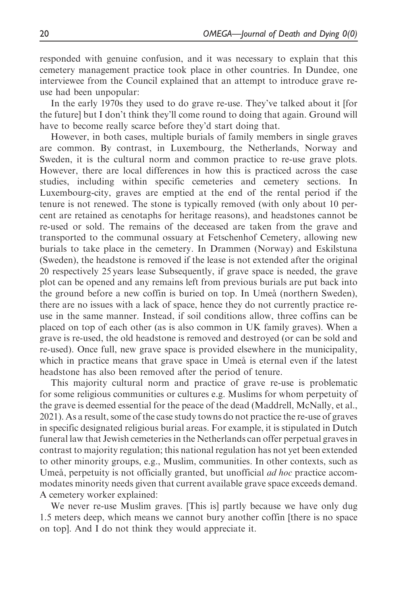responded with genuine confusion, and it was necessary to explain that this cemetery management practice took place in other countries. In Dundee, one interviewee from the Council explained that an attempt to introduce grave reuse had been unpopular:

In the early 1970s they used to do grave re-use. They've talked about it [for the future] but I don't think they'll come round to doing that again. Ground will have to become really scarce before they'd start doing that.

However, in both cases, multiple burials of family members in single graves are common. By contrast, in Luxembourg, the Netherlands, Norway and Sweden, it is the cultural norm and common practice to re-use grave plots. However, there are local differences in how this is practiced across the case studies, including within specific cemeteries and cemetery sections. In Luxembourg-city, graves are emptied at the end of the rental period if the tenure is not renewed. The stone is typically removed (with only about 10 percent are retained as cenotaphs for heritage reasons), and headstones cannot be re-used or sold. The remains of the deceased are taken from the grave and transported to the communal ossuary at Fetschenhof Cemetery, allowing new burials to take place in the cemetery. In Drammen (Norway) and Eskilstuna (Sweden), the headstone is removed if the lease is not extended after the original 20 respectively 25 years lease Subsequently, if grave space is needed, the grave plot can be opened and any remains left from previous burials are put back into the ground before a new coffin is buried on top. In Umeå (northern Sweden), there are no issues with a lack of space, hence they do not currently practice reuse in the same manner. Instead, if soil conditions allow, three coffins can be placed on top of each other (as is also common in UK family graves). When a grave is re-used, the old headstone is removed and destroyed (or can be sold and re-used). Once full, new grave space is provided elsewhere in the municipality, which in practice means that grave space in Umeå is eternal even if the latest headstone has also been removed after the period of tenure.

This majority cultural norm and practice of grave re-use is problematic for some religious communities or cultures e.g. Muslims for whom perpetuity of the grave is deemed essential for the peace of the dead (Maddrell, McNally, et al., 2021). As a result, some of the case study towns do not practice the re-use of graves in specific designated religious burial areas. For example, it is stipulated in Dutch funeral law that Jewish cemeteries in the Netherlands can offer perpetual graves in contrast to majority regulation; this national regulation has not yet been extended to other minority groups, e.g., Muslim, communities. In other contexts, such as Umeå, perpetuity is not officially granted, but unofficial  $ad hoc$  practice accommodates minority needs given that current available grave space exceeds demand. A cemetery worker explained:

We never re-use Muslim graves. [This is] partly because we have only dug 1.5 meters deep, which means we cannot bury another coffin [there is no space on top]. And I do not think they would appreciate it.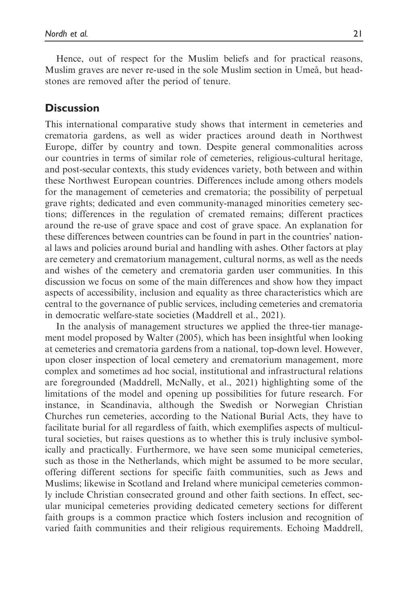Hence, out of respect for the Muslim beliefs and for practical reasons, Muslim graves are never re-used in the sole Muslim section in Umeå, but headstones are removed after the period of tenure.

# **Discussion**

This international comparative study shows that interment in cemeteries and crematoria gardens, as well as wider practices around death in Northwest Europe, differ by country and town. Despite general commonalities across our countries in terms of similar role of cemeteries, religious-cultural heritage, and post-secular contexts, this study evidences variety, both between and within these Northwest European countries. Differences include among others models for the management of cemeteries and crematoria; the possibility of perpetual grave rights; dedicated and even community-managed minorities cemetery sections; differences in the regulation of cremated remains; different practices around the re-use of grave space and cost of grave space. An explanation for these differences between countries can be found in part in the countries' national laws and policies around burial and handling with ashes. Other factors at play are cemetery and crematorium management, cultural norms, as well as the needs and wishes of the cemetery and crematoria garden user communities. In this discussion we focus on some of the main differences and show how they impact aspects of accessibility, inclusion and equality as three characteristics which are central to the governance of public services, including cemeteries and crematoria in democratic welfare-state societies (Maddrell et al., 2021).

In the analysis of management structures we applied the three-tier management model proposed by Walter (2005), which has been insightful when looking at cemeteries and crematoria gardens from a national, top-down level. However, upon closer inspection of local cemetery and crematorium management, more complex and sometimes ad hoc social, institutional and infrastructural relations are foregrounded (Maddrell, McNally, et al., 2021) highlighting some of the limitations of the model and opening up possibilities for future research. For instance, in Scandinavia, although the Swedish or Norwegian Christian Churches run cemeteries, according to the National Burial Acts, they have to facilitate burial for all regardless of faith, which exemplifies aspects of multicultural societies, but raises questions as to whether this is truly inclusive symbolically and practically. Furthermore, we have seen some municipal cemeteries, such as those in the Netherlands, which might be assumed to be more secular, offering different sections for specific faith communities, such as Jews and Muslims; likewise in Scotland and Ireland where municipal cemeteries commonly include Christian consecrated ground and other faith sections. In effect, secular municipal cemeteries providing dedicated cemetery sections for different faith groups is a common practice which fosters inclusion and recognition of varied faith communities and their religious requirements. Echoing Maddrell,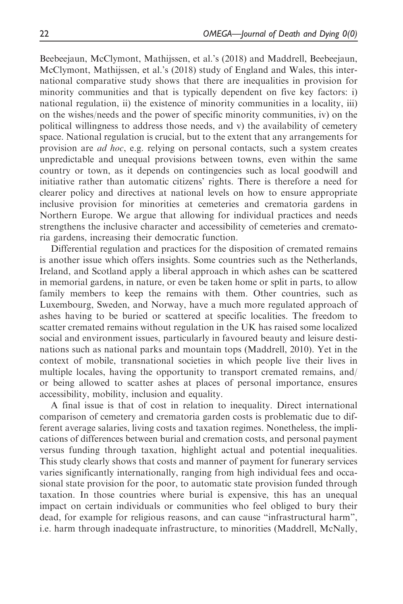Beebeejaun, McClymont, Mathijssen, et al.'s (2018) and Maddrell, Beebeejaun, McClymont, Mathijssen, et al.'s (2018) study of England and Wales, this international comparative study shows that there are inequalities in provision for minority communities and that is typically dependent on five key factors: i) national regulation, ii) the existence of minority communities in a locality, iii) on the wishes/needs and the power of specific minority communities, iv) on the political willingness to address those needs, and v) the availability of cemetery space. National regulation is crucial, but to the extent that any arrangements for provision are ad hoc, e.g. relying on personal contacts, such a system creates unpredictable and unequal provisions between towns, even within the same country or town, as it depends on contingencies such as local goodwill and initiative rather than automatic citizens' rights. There is therefore a need for clearer policy and directives at national levels on how to ensure appropriate inclusive provision for minorities at cemeteries and crematoria gardens in Northern Europe. We argue that allowing for individual practices and needs strengthens the inclusive character and accessibility of cemeteries and crematoria gardens, increasing their democratic function.

Differential regulation and practices for the disposition of cremated remains is another issue which offers insights. Some countries such as the Netherlands, Ireland, and Scotland apply a liberal approach in which ashes can be scattered in memorial gardens, in nature, or even be taken home or split in parts, to allow family members to keep the remains with them. Other countries, such as Luxembourg, Sweden, and Norway, have a much more regulated approach of ashes having to be buried or scattered at specific localities. The freedom to scatter cremated remains without regulation in the UK has raised some localized social and environment issues, particularly in favoured beauty and leisure destinations such as national parks and mountain tops (Maddrell, 2010). Yet in the context of mobile, transnational societies in which people live their lives in multiple locales, having the opportunity to transport cremated remains, and/ or being allowed to scatter ashes at places of personal importance, ensures accessibility, mobility, inclusion and equality.

A final issue is that of cost in relation to inequality. Direct international comparison of cemetery and crematoria garden costs is problematic due to different average salaries, living costs and taxation regimes. Nonetheless, the implications of differences between burial and cremation costs, and personal payment versus funding through taxation, highlight actual and potential inequalities. This study clearly shows that costs and manner of payment for funerary services varies significantly internationally, ranging from high individual fees and occasional state provision for the poor, to automatic state provision funded through taxation. In those countries where burial is expensive, this has an unequal impact on certain individuals or communities who feel obliged to bury their dead, for example for religious reasons, and can cause "infrastructural harm", i.e. harm through inadequate infrastructure, to minorities (Maddrell, McNally,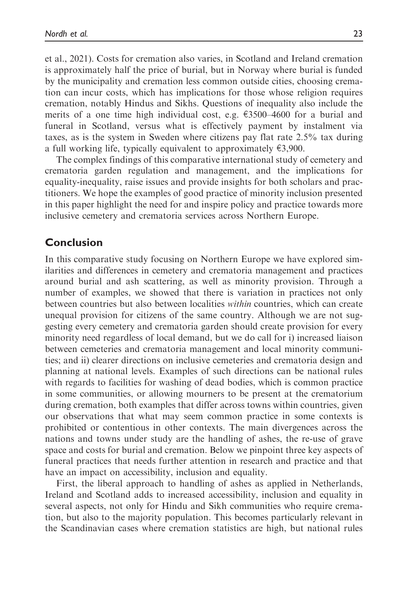et al., 2021). Costs for cremation also varies, in Scotland and Ireland cremation is approximately half the price of burial, but in Norway where burial is funded by the municipality and cremation less common outside cities, choosing cremation can incur costs, which has implications for those whose religion requires cremation, notably Hindus and Sikhs. Questions of inequality also include the merits of a one time high individual cost, e.g.  $\epsilon$ 3500–4600 for a burial and funeral in Scotland, versus what is effectively payment by instalment via taxes, as is the system in Sweden where citizens pay flat rate 2.5% tax during a full working life, typically equivalent to approximately  $\epsilon$ 3,900.

The complex findings of this comparative international study of cemetery and crematoria garden regulation and management, and the implications for equality-inequality, raise issues and provide insights for both scholars and practitioners. We hope the examples of good practice of minority inclusion presented in this paper highlight the need for and inspire policy and practice towards more inclusive cemetery and crematoria services across Northern Europe.

## Conclusion

In this comparative study focusing on Northern Europe we have explored similarities and differences in cemetery and crematoria management and practices around burial and ash scattering, as well as minority provision. Through a number of examples, we showed that there is variation in practices not only between countries but also between localities within countries, which can create unequal provision for citizens of the same country. Although we are not suggesting every cemetery and crematoria garden should create provision for every minority need regardless of local demand, but we do call for i) increased liaison between cemeteries and crematoria management and local minority communities; and ii) clearer directions on inclusive cemeteries and crematoria design and planning at national levels. Examples of such directions can be national rules with regards to facilities for washing of dead bodies, which is common practice in some communities, or allowing mourners to be present at the crematorium during cremation, both examples that differ across towns within countries, given our observations that what may seem common practice in some contexts is prohibited or contentious in other contexts. The main divergences across the nations and towns under study are the handling of ashes, the re-use of grave space and costs for burial and cremation. Below we pinpoint three key aspects of funeral practices that needs further attention in research and practice and that have an impact on accessibility, inclusion and equality.

First, the liberal approach to handling of ashes as applied in Netherlands, Ireland and Scotland adds to increased accessibility, inclusion and equality in several aspects, not only for Hindu and Sikh communities who require cremation, but also to the majority population. This becomes particularly relevant in the Scandinavian cases where cremation statistics are high, but national rules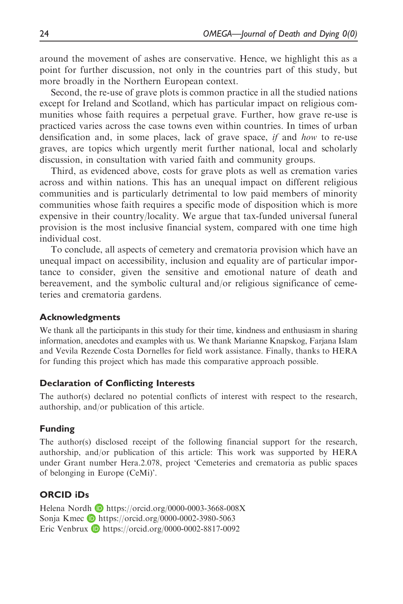around the movement of ashes are conservative. Hence, we highlight this as a point for further discussion, not only in the countries part of this study, but more broadly in the Northern European context.

Second, the re-use of grave plots is common practice in all the studied nations except for Ireland and Scotland, which has particular impact on religious communities whose faith requires a perpetual grave. Further, how grave re-use is practiced varies across the case towns even within countries. In times of urban densification and, in some places, lack of grave space, if and how to re-use graves, are topics which urgently merit further national, local and scholarly discussion, in consultation with varied faith and community groups.

Third, as evidenced above, costs for grave plots as well as cremation varies across and within nations. This has an unequal impact on different religious communities and is particularly detrimental to low paid members of minority communities whose faith requires a specific mode of disposition which is more expensive in their country/locality. We argue that tax-funded universal funeral provision is the most inclusive financial system, compared with one time high individual cost.

To conclude, all aspects of cemetery and crematoria provision which have an unequal impact on accessibility, inclusion and equality are of particular importance to consider, given the sensitive and emotional nature of death and bereavement, and the symbolic cultural and/or religious significance of cemeteries and crematoria gardens.

### Acknowledgments

We thank all the participants in this study for their time, kindness and enthusiasm in sharing information, anecdotes and examples with us. We thank Marianne Knapskog, Farjana Islam and Vevila Rezende Costa Dornelles for field work assistance. Finally, thanks to HERA for funding this project which has made this comparative approach possible.

### Declaration of Conflicting Interests

The author(s) declared no potential conflicts of interest with respect to the research, authorship, and/or publication of this article.

### Funding

The author(s) disclosed receipt of the following financial support for the research, authorship, and/or publication of this article: This work was supported by HERA under Grant number Hera.2.078, project 'Cemeteries and crematoria as public spaces of belonging in Europe (CeMi)'.

## ORCID iDs

Helena Nordh D <https://orcid.org/0000-0003-3668-008X> Sonja Kmec  $\Box$  <https://orcid.org/0000-0002-3980-5063> Eric Venbrux  $\bullet$  <https://orcid.org/0000-0002-8817-0092>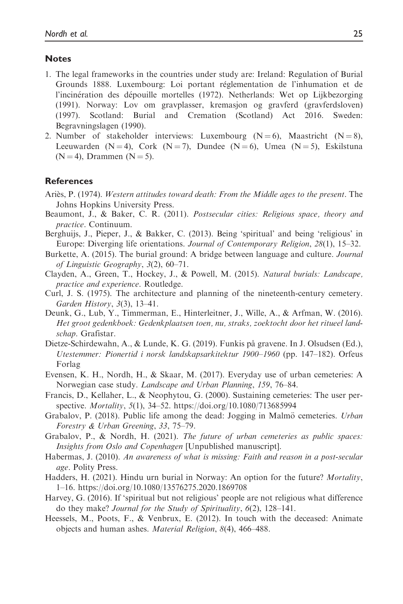#### **Notes**

- 1. The legal frameworks in the countries under study are: Ireland: Regulation of Burial Grounds 1888. Luxembourg: Loi portant reglementation de l'inhumation et de l'incinération des dépouille mortelles (1972). Netherlands: Wet op Lijkbezorging (1991). Norway: Lov om gravplasser, kremasjon og gravferd (gravferdsloven) (1997). Scotland: Burial and Cremation (Scotland) Act 2016. Sweden: Begravningslagen (1990).
- 2. Number of stakeholder interviews: Luxembourg  $(N = 6)$ , Maastricht  $(N = 8)$ , Leeuwarden (N = 4), Cork (N = 7), Dundee (N = 6), Umea (N = 5), Eskilstuna  $(N = 4)$ , Drammen  $(N = 5)$ .

#### References

- Ariès, P. (1974). Western attitudes toward death: From the Middle ages to the present. The Johns Hopkins University Press.
- Beaumont, J., & Baker, C. R. (2011). Postsecular cities: Religious space, theory and practice. Continuum.
- Berghuijs, J., Pieper, J., & Bakker, C. (2013). Being 'spiritual' and being 'religious' in Europe: Diverging life orientations. Journal of Contemporary Religion, 28(1), 15–32.
- Burkette, A. (2015). The burial ground: A bridge between language and culture. Journal of Linguistic Geography, 3(2), 60–71.
- Clayden, A., Green, T., Hockey, J., & Powell, M. (2015). Natural burials: Landscape, practice and experience. Routledge.
- Curl, J. S. (1975). The architecture and planning of the nineteenth-century cemetery. Garden History, 3(3), 13–41.
- Deunk, G., Lub, Y., Timmerman, E., Hinterleitner, J., Wille, A., & Arfman, W. (2016). Het groot gedenkboek: Gedenkplaatsen toen, nu, straks, zoektocht door het ritueel landschap. Grafistar.
- Dietze-Schirdewahn, A., & Lunde, K. G. (2019). Funkis på gravene. In J. Olsudsen (Ed.), Utestemmer: Pionertid i norsk landskapsarkitektur 1900–1960 (pp. 147–182). Orfeus Forlag
- Evensen, K. H., Nordh, H., & Skaar, M. (2017). Everyday use of urban cemeteries: A Norwegian case study. Landscape and Urban Planning, 159, 76–84.
- Francis, D., Kellaher, L., & Neophytou, G. (2000). Sustaining cemeteries: The user perspective. Mortality, 5(1), 34–52.<https://doi.org/10.1080/713685994>
- Grabalov, P. (2018). Public life among the dead: Jogging in Malmö cemeteries. *Urban* Forestry & Urban Greening, 33, 75–79.
- Grabalov, P., & Nordh, H. (2021). The future of urban cemeteries as public spaces: Insights from Oslo and Copenhagen [Unpublished manuscript].
- Habermas, J. (2010). An awareness of what is missing: Faith and reason in a post-secular age. Polity Press.
- Hadders, H. (2021). Hindu urn burial in Norway: An option for the future? Mortality, 1–16.<https://doi.org/10.1080/13576275.2020.1869708>
- Harvey, G. (2016). If 'spiritual but not religious' people are not religious what difference do they make? Journal for the Study of Spirituality, 6(2), 128–141.
- Heessels, M., Poots, F., & Venbrux, E. (2012). In touch with the deceased: Animate objects and human ashes. Material Religion, 8(4), 466–488.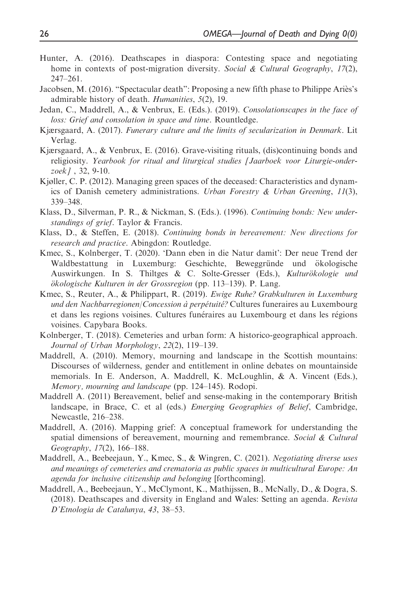- Hunter, A. (2016). Deathscapes in diaspora: Contesting space and negotiating home in contexts of post-migration diversity. Social & Cultural Geography,  $17(2)$ , 247–261.
- Jacobsen, M. (2016). "Spectacular death": Proposing a new fifth phase to Philippe Ariès's admirable history of death. Humanities, 5(2), 19.
- Jedan, C., Maddrell, A., & Venbrux, E. (Eds.). (2019). Consolationscapes in the face of loss: Grief and consolation in space and time. Rountledge.
- Kjærsgaard, A. (2017). Funerary culture and the limits of secularization in Denmark. Lit Verlag.
- Kjærsgaard, A., & Venbrux, E. (2016). Grave-visiting rituals, (dis)continuing bonds and religiosity. Yearbook for ritual and liturgical studies [Jaarboek voor Liturgie-onderzoek] , 32, 9-10.
- Kjøller, C. P. (2012). Managing green spaces of the deceased: Characteristics and dynamics of Danish cemetery administrations. Urban Forestry & Urban Greening,  $11(3)$ , 339–348.
- Klass, D., Silverman, P. R., & Nickman, S. (Eds.). (1996). Continuing bonds: New understandings of grief. Taylor & Francis.
- Klass, D., & Steffen, E. (2018). Continuing bonds in bereavement: New directions for research and practice. Abingdon: Routledge.
- Kmec, S., Kolnberger, T. (2020). 'Dann eben in die Natur damit': Der neue Trend der Waldbestattung in Luxemburg: Geschichte, Beweggründe und ökologische Auswirkungen. In S. Thiltges & C. Solte-Gresser (Eds.), Kulturökologie und ökologische Kulturen in der Grossregion (pp. 113-139). P. Lang.
- Kmec, S., Reuter, A., & Philippart, R. (2019). Ewige Ruhe? Grabkulturen in Luxemburg und den Nachbarregionen/Concession à perpétuité? Cultures funeraires au Luxembourg et dans les regions voisines. Cultures funeraires au Luxembourg et dans les regions voisines. Capybara Books.
- Kolnberger, T. (2018). Cemeteries and urban form: A historico-geographical approach. Journal of Urban Morphology, 22(2), 119–139.
- Maddrell, A. (2010). Memory, mourning and landscape in the Scottish mountains: Discourses of wilderness, gender and entitlement in online debates on mountainside memorials. In E. Anderson, A. Maddrell, K. McLoughlin, & A. Vincent (Eds.), Memory, mourning and landscape (pp. 124–145). Rodopi.
- Maddrell A. (2011) Bereavement, belief and sense-making in the contemporary British landscape, in Brace, C. et al (eds.) *Emerging Geographies of Belief*, Cambridge, Newcastle, 216–238.
- Maddrell, A. (2016). Mapping grief: A conceptual framework for understanding the spatial dimensions of bereavement, mourning and remembrance. Social & Cultural Geography, 17(2), 166–188.
- Maddrell, A., Beebeejaun, Y., Kmec, S., & Wingren, C. (2021). Negotiating diverse uses and meanings of cemeteries and crematoria as public spaces in multicultural Europe: An agenda for inclusive citizenship and belonging [forthcoming].
- Maddrell, A., Beebeejaun, Y., McClymont, K., Mathijssen, B., McNally, D., & Dogra, S. (2018). Deathscapes and diversity in England and Wales: Setting an agenda. Revista D'Etnologia de Catalunya, 43, 38–53.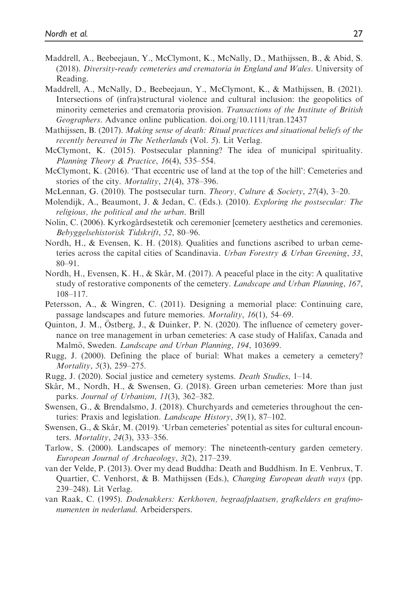- Maddrell, A., Beebeejaun, Y., McClymont, K., McNally, D., Mathijssen, B., & Abid, S. (2018). Diversity-ready cemeteries and crematoria in England and Wales. University of Reading.
- Maddrell, A., McNally, D., Beebeejaun, Y., McClymont, K., & Mathijssen, B. (2021). Intersections of (infra)structural violence and cultural inclusion: the geopolitics of minority cemeteries and crematoria provision. Transactions of the Institute of British Geographers. Advance online publication. doi.org/10.1111/tran.12437
- Mathijssen, B. (2017). Making sense of death: Ritual practices and situational beliefs of the recently bereaved in The Netherlands (Vol. 5). Lit Verlag.
- McClymont, K. (2015). Postsecular planning? The idea of municipal spirituality. Planning Theory & Practice, 16(4), 535–554.
- McClymont, K. (2016). 'That eccentric use of land at the top of the hill': Cemeteries and stories of the city. Mortality, 21(4), 378–396.
- McLennan, G. (2010). The postsecular turn. *Theory, Culture & Society, 27*(4), 3–20.
- Molendijk, A., Beaumont, J. & Jedan, C. (Eds.). (2010). Exploring the postsecular: The religious, the political and the urban. Brill
- Nolin, C. (2006). Kyrkogårdsestetik och ceremonier [cemetery aesthetics and ceremonies. Bebyggelsehistorisk Tidskrift, 52, 80–96.
- Nordh, H., & Evensen, K. H. (2018). Qualities and functions ascribed to urban cemeteries across the capital cities of Scandinavia. Urban Forestry & Urban Greening, 33, 80–91.
- Nordh, H., Evensen, K. H.,  $\&$  Skår, M. (2017). A peaceful place in the city: A qualitative study of restorative components of the cemetery. Landscape and Urban Planning, 167, 108–117.
- Petersson, A., & Wingren, C. (2011). Designing a memorial place: Continuing care, passage landscapes and future memories. *Mortality*, 16(1), 54–69.
- Quinton, J. M., Ostberg, J., & Duinker, P. N. (2020). The influence of cemetery governance on tree management in urban cemeteries: A case study of Halifax, Canada and Malmö, Sweden. *Landscape and Urban Planning*, 194, 103699.
- Rugg, J. (2000). Defining the place of burial: What makes a cemetery a cemetery? Mortality, 5(3), 259–275.
- Rugg, J. (2020). Social justice and cemetery systems. Death Studies, 1–14.
- Skår, M., Nordh, H., & Swensen, G.  $(2018)$ . Green urban cemeteries: More than just parks. Journal of Urbanism, 11(3), 362-382.
- Swensen, G., & Brendalsmo, J. (2018). Churchyards and cemeteries throughout the centuries: Praxis and legislation. *Landscape History*, 39(1), 87–102.
- Swensen, G., & Skår, M. (2019). 'Urban cemeteries' potential as sites for cultural encounters. Mortality, 24(3), 333–356.
- Tarlow, S. (2000). Landscapes of memory: The nineteenth-century garden cemetery. European Journal of Archaeology, 3(2), 217–239.
- van der Velde, P. (2013). Over my dead Buddha: Death and Buddhism. In E. Venbrux, T. Quartier, C. Venhorst, & B. Mathijssen (Eds.), Changing European death ways (pp. 239–248). Lit Verlag.
- van Raak, C. (1995). Dodenakkers: Kerkhoven, begraafplaatsen, grafkelders en grafmonumenten in nederland. Arbeiderspers.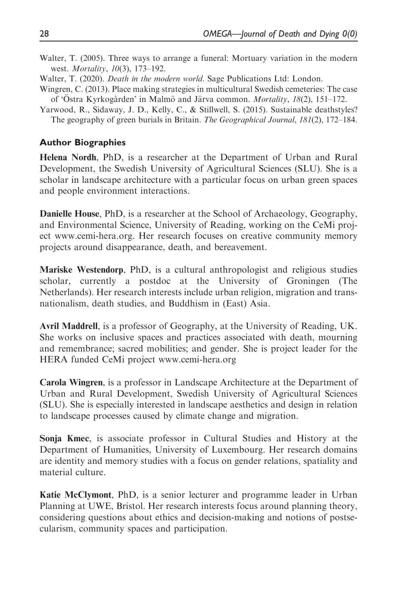- Walter, T. (2005). Three ways to arrange a funeral: Mortuary variation in the modern west. *Mortality*, 10(3), 173-192.
- Walter, T. (2020). *Death in the modern world*. Sage Publications Ltd: London.
- Wingren, C. (2013). Place making strategies in multicultural Swedish cemeteries: The case of 'Östra Kyrkogården' in Malmö and Järva common. Mortality, 18(2), 151–172.
- Yarwood, R., Sidaway, J. D., Kelly, C., & Stillwell, S. (2015). Sustainable deathstyles? The geography of green burials in Britain. The Geographical Journal, 181(2), 172–184.

#### Author Biographies

Helena Nordh, PhD, is a researcher at the Department of Urban and Rural Development, the Swedish University of Agricultural Sciences (SLU). She is a scholar in landscape architecture with a particular focus on urban green spaces and people environment interactions.

Danielle House, PhD, is a researcher at the School of Archaeology, Geography, and Environmental Science, University of Reading, working on the CeMi project www.cemi-hera.org. Her research focuses on creative community memory projects around disappearance, death, and bereavement.

Mariske Westendorp, PhD, is a cultural anthropologist and religious studies scholar, currently a postdoc at the University of Groningen (The Netherlands). Her research interests include urban religion, migration and transnationalism, death studies, and Buddhism in (East) Asia.

Avril Maddrell, is a professor of Geography, at the University of Reading, UK. She works on inclusive spaces and practices associated with death, mourning and remembrance; sacred mobilities; and gender. She is project leader for the HERA funded CeMi project www.cemi-hera.org

Carola Wingren, is a professor in Landscape Architecture at the Department of Urban and Rural Development, Swedish University of Agricultural Sciences (SLU). She is especially interested in landscape aesthetics and design in relation to landscape processes caused by climate change and migration.

Sonja Kmec, is associate professor in Cultural Studies and History at the Department of Humanities, University of Luxembourg. Her research domains are identity and memory studies with a focus on gender relations, spatiality and material culture.

Katie McClymont, PhD, is a senior lecturer and programme leader in Urban Planning at UWE, Bristol. Her research interests focus around planning theory, considering questions about ethics and decision-making and notions of postsecularism, community spaces and participation.